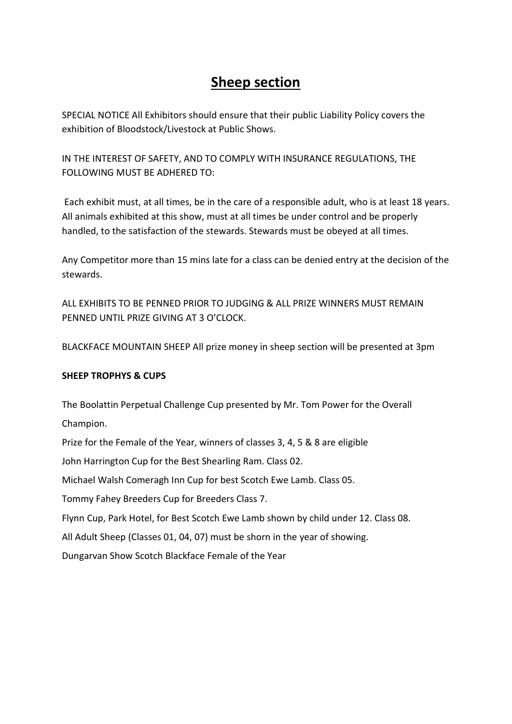# Sheep section

SPECIAL NOTICE All Exhibitors should ensure that their public Liability Policy covers the exhibition of Bloodstock/Livestock at Public Shows.

IN THE INTEREST OF SAFETY, AND TO COMPLY WITH INSURANCE REGULATIONS, THE FOLLOWING MUST BE ADHERED TO:

 Each exhibit must, at all times, be in the care of a responsible adult, who is at least 18 years. All animals exhibited at this show, must at all times be under control and be properly handled, to the satisfaction of the stewards. Stewards must be obeyed at all times.

Any Competitor more than 15 mins late for a class can be denied entry at the decision of the stewards.

ALL EXHIBITS TO BE PENNED PRIOR TO JUDGING & ALL PRIZE WINNERS MUST REMAIN PENNED UNTIL PRIZE GIVING AT 3 O'CLOCK.

BLACKFACE MOUNTAIN SHEEP All prize money in sheep section will be presented at 3pm

## SHEEP TROPHYS & CUPS

The Boolattin Perpetual Challenge Cup presented by Mr. Tom Power for the Overall Champion.

Prize for the Female of the Year, winners of classes 3, 4, 5 & 8 are eligible

John Harrington Cup for the Best Shearling Ram. Class 02.

Michael Walsh Comeragh Inn Cup for best Scotch Ewe Lamb. Class 05.

Tommy Fahey Breeders Cup for Breeders Class 7.

Flynn Cup, Park Hotel, for Best Scotch Ewe Lamb shown by child under 12. Class 08.

All Adult Sheep (Classes 01, 04, 07) must be shorn in the year of showing.

Dungarvan Show Scotch Blackface Female of the Year